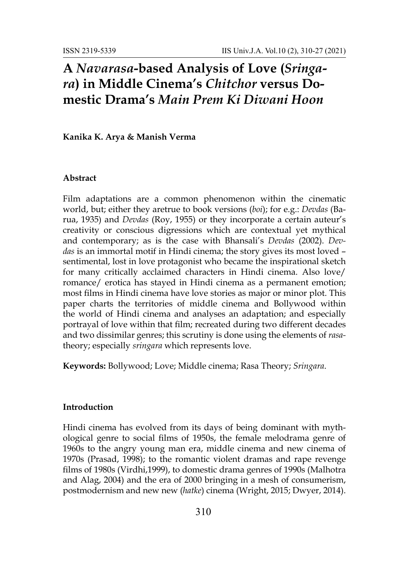# **A** *Navarasa***-based Analysis of Love (***Sringara***) in Middle Cinema's** *Chitchor* **versus Domestic Drama's** *Main Prem Ki Diwani Hoon*

**Kanika K. Arya & Manish Verma**

### **Abstract**

Film adaptations are a common phenomenon within the cinematic world, but; either they aretrue to book versions (*boi*); for e.g.: *Devdas* (Barua, 1935) and *Devdas* (Roy, 1955) or they incorporate a certain auteur's creativity or conscious digressions which are contextual yet mythical and contemporary; as is the case with Bhansali's *Devdas* (2002). *Devdas* is an immortal motif in Hindi cinema; the story gives its most loved – sentimental, lost in love protagonist who became the inspirational sketch for many critically acclaimed characters in Hindi cinema. Also love/ romance/ erotica has stayed in Hindi cinema as a permanent emotion; most films in Hindi cinema have love stories as major or minor plot. This paper charts the territories of middle cinema and Bollywood within the world of Hindi cinema and analyses an adaptation; and especially portrayal of love within that film; recreated during two different decades and two dissimilar genres; this scrutiny is done using the elements of *rasa*theory; especially *sringara* which represents love.

**Keywords:** Bollywood; Love; Middle cinema; Rasa Theory; *Sringara*.

#### **Introduction**

Hindi cinema has evolved from its days of being dominant with mythological genre to social films of 1950s, the female melodrama genre of 1960s to the angry young man era, middle cinema and new cinema of 1970s (Prasad, 1998); to the romantic violent dramas and rape revenge films of 1980s (Virdhi,1999), to domestic drama genres of 1990s (Malhotra and Alag, 2004) and the era of 2000 bringing in a mesh of consumerism, postmodernism and new new (*hatke*) cinema (Wright, 2015; Dwyer, 2014).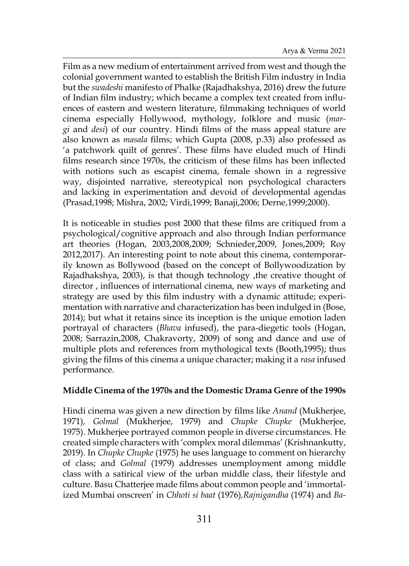Film as a new medium of entertainment arrived from west and though the colonial government wanted to establish the British Film industry in India but the *swadeshi* manifesto of Phalke (Rajadhakshya, 2016) drew the future of Indian film industry; which became a complex text created from influences of eastern and western literature, filmmaking techniques of world cinema especially Hollywood, mythology, folklore and music (*margi* and *desi*) of our country. Hindi films of the mass appeal stature are also known as *masala* films; which Gupta (2008, p.33) also professed as 'a patchwork quilt of genres'. These films have eluded much of Hindi films research since 1970s, the criticism of these films has been inflected with notions such as escapist cinema, female shown in a regressive way, disjointed narrative, stereotypical non psychological characters and lacking in experimentation and devoid of developmental agendas (Prasad,1998; Mishra, 2002; Virdi,1999; Banaji,2006; Derne,1999;2000).

It is noticeable in studies post 2000 that these films are critiqued from a psychological/cognitive approach and also through Indian performance art theories (Hogan, 2003,2008,2009; Schnieder,2009, Jones,2009; Roy 2012,2017). An interesting point to note about this cinema, contemporarily known as Bollywood (based on the concept of Bollywoodization by Rajadhakshya, 2003), is that though technology ,the creative thought of director , influences of international cinema, new ways of marketing and strategy are used by this film industry with a dynamic attitude; experimentation with narrative and characterization has been indulged in (Bose, 2014); but what it retains since its inception is the unique emotion laden portrayal of characters (*Bhava* infused), the para-diegetic tools (Hogan, 2008; Sarrazin,2008, Chakravorty, 2009) of song and dance and use of multiple plots and references from mythological texts (Booth,1995); thus giving the films of this cinema a unique character; making it a *rasa* infused performance.

## **Middle Cinema of the 1970s and the Domestic Drama Genre of the 1990s**

Hindi cinema was given a new direction by films like *Anand* (Mukherjee, 1971)*, Golmal* (Mukherjee, 1979) and *Chupke Chupke* (Mukherjee, 1975). Mukherjee portrayed common people in diverse circumstances. He created simple characters with 'complex moral dilemmas' (Krishnankutty, 2019). In *Chupke Chupke* (1975) he uses language to comment on hierarchy of class; and *Golmal* (1979) addresses unemployment among middle class with a satirical view of the urban middle class, their lifestyle and culture. Basu Chatterjee made films about common people and 'immortalized Mumbai onscreen' in *Chhoti si baat* (1976)*,Rajnigandha* (1974) and *Ba-*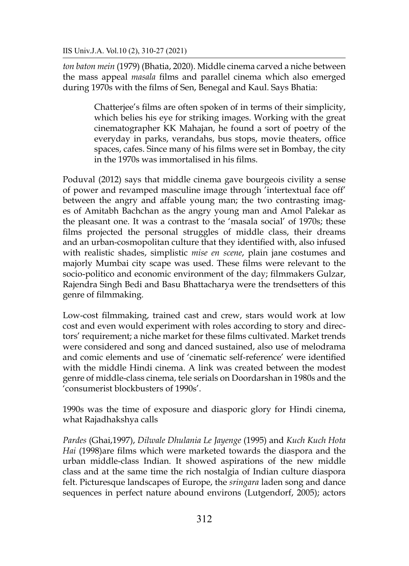*ton baton mein* (1979) (Bhatia, 2020). Middle cinema carved a niche between the mass appeal *masala* films and parallel cinema which also emerged during 1970s with the films of Sen, Benegal and Kaul. Says Bhatia:

> Chatterjee's films are often spoken of in terms of their simplicity, which belies his eye for striking images. Working with the great cinematographer KK Mahajan, he found a sort of poetry of the everyday in parks, verandahs, bus stops, movie theaters, office spaces, cafes. Since many of his films were set in Bombay, the city in the 1970s was immortalised in his films.

Poduval (2012) says that middle cinema gave bourgeois civility a sense of power and revamped masculine image through 'intertextual face off' between the angry and affable young man; the two contrasting images of Amitabh Bachchan as the angry young man and Amol Palekar as the pleasant one. It was a contrast to the 'masala social' of 1970s; these films projected the personal struggles of middle class, their dreams and an urban-cosmopolitan culture that they identified with, also infused with realistic shades, simplistic *mise en scene*, plain jane costumes and majorly Mumbai city scape was used. These films were relevant to the socio-politico and economic environment of the day; filmmakers Gulzar, Rajendra Singh Bedi and Basu Bhattacharya were the trendsetters of this genre of filmmaking.

Low-cost filmmaking, trained cast and crew, stars would work at low cost and even would experiment with roles according to story and directors' requirement; a niche market for these films cultivated. Market trends were considered and song and danced sustained, also use of melodrama and comic elements and use of 'cinematic self-reference' were identified with the middle Hindi cinema. A link was created between the modest genre of middle-class cinema, tele serials on Doordarshan in 1980s and the 'consumerist blockbusters of 1990s'.

1990s was the time of exposure and diasporic glory for Hindi cinema, what Rajadhakshya calls

*Pardes* (Ghai,1997), *Dilwale Dhulania Le Jayenge* (1995) and *Kuch Kuch Hota Hai* (1998)are films which were marketed towards the diaspora and the urban middle-class Indian. It showed aspirations of the new middle class and at the same time the rich nostalgia of Indian culture diaspora felt. Picturesque landscapes of Europe, the *sringara* laden song and dance sequences in perfect nature abound environs (Lutgendorf, 2005); actors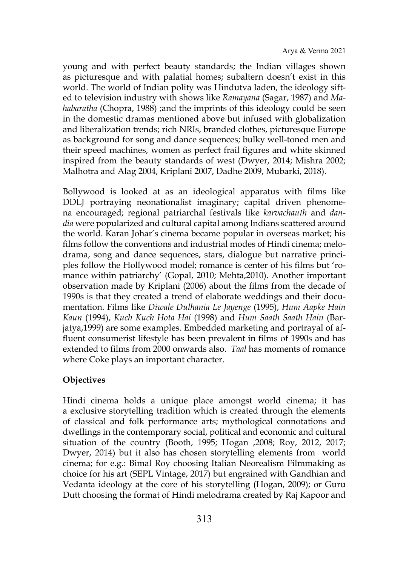young and with perfect beauty standards; the Indian villages shown as picturesque and with palatial homes; subaltern doesn't exist in this world. The world of Indian polity was Hindutva laden, the ideology sifted to television industry with shows like *Ramayana* (Sagar, 1987) and *Mahabaratha* (Chopra, 1988) ;and the imprints of this ideology could be seen in the domestic dramas mentioned above but infused with globalization and liberalization trends; rich NRIs, branded clothes, picturesque Europe as background for song and dance sequences; bulky well-toned men and their speed machines, women as perfect frail figures and white skinned inspired from the beauty standards of west (Dwyer, 2014; Mishra 2002; Malhotra and Alag 2004, Kriplani 2007, Dadhe 2009, Mubarki, 2018).

Bollywood is looked at as an ideological apparatus with films like DDLJ portraying neonationalist imaginary; capital driven phenomena encouraged; regional patriarchal festivals like *karvachauth* and *dandia* were popularized and cultural capital among Indians scattered around the world. Karan Johar's cinema became popular in overseas market; his films follow the conventions and industrial modes of Hindi cinema; melodrama, song and dance sequences, stars, dialogue but narrative principles follow the Hollywood model; romance is center of his films but 'romance within patriarchy' (Gopal, 2010; Mehta,2010). Another important observation made by Kriplani (2006) about the films from the decade of 1990s is that they created a trend of elaborate weddings and their documentation. Films like *Diwale Dulhania Le Jayenge* (1995), *Hum Aapke Hain Kaun* (1994), *Kuch Kuch Hota Hai* (1998) and *Hum Saath Saath Hain* (Barjatya,1999) are some examples. Embedded marketing and portrayal of affluent consumerist lifestyle has been prevalent in films of 1990s and has extended to films from 2000 onwards also. *Taal* has moments of romance where Coke plays an important character.

## **Objectives**

Hindi cinema holds a unique place amongst world cinema; it has a exclusive storytelling tradition which is created through the elements of classical and folk performance arts; mythological connotations and dwellings in the contemporary social, political and economic and cultural situation of the country (Booth, 1995; Hogan ,2008; Roy, 2012, 2017; Dwyer, 2014) but it also has chosen storytelling elements from world cinema; for e.g.: Bimal Roy choosing Italian Neorealism Filmmaking as choice for his art (SEPL Vintage, 2017) but engrained with Gandhian and Vedanta ideology at the core of his storytelling (Hogan, 2009); or Guru Dutt choosing the format of Hindi melodrama created by Raj Kapoor and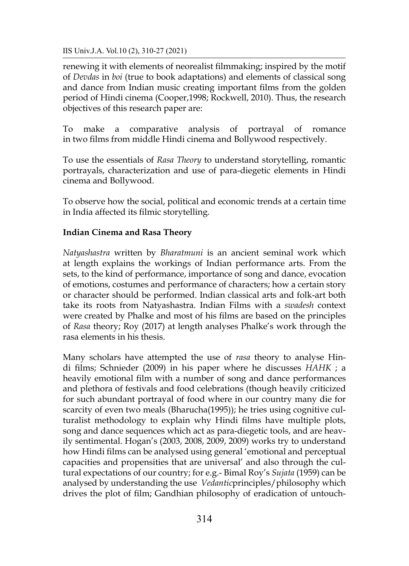renewing it with elements of neorealist filmmaking; inspired by the motif of *Devdas* in *boi* (true to book adaptations) and elements of classical song and dance from Indian music creating important films from the golden period of Hindi cinema (Cooper,1998; Rockwell, 2010). Thus, the research objectives of this research paper are:

To make a comparative analysis of portrayal of romance in two films from middle Hindi cinema and Bollywood respectively.

To use the essentials of *Rasa Theory* to understand storytelling, romantic portrayals, characterization and use of para-diegetic elements in Hindi cinema and Bollywood.

To observe how the social, political and economic trends at a certain time in India affected its filmic storytelling.

# **Indian Cinema and Rasa Theory**

*Natyashastra* written by *Bharatmuni* is an ancient seminal work which at length explains the workings of Indian performance arts. From the sets, to the kind of performance, importance of song and dance, evocation of emotions, costumes and performance of characters; how a certain story or character should be performed. Indian classical arts and folk-art both take its roots from Natyashastra. Indian Films with a *swadesh* context were created by Phalke and most of his films are based on the principles of *Rasa* theory; Roy (2017) at length analyses Phalke's work through the rasa elements in his thesis.

Many scholars have attempted the use of *rasa* theory to analyse Hindi films; Schnieder (2009) in his paper where he discusses *HAHK* ; a heavily emotional film with a number of song and dance performances and plethora of festivals and food celebrations (though heavily criticized for such abundant portrayal of food where in our country many die for scarcity of even two meals (Bharucha(1995)); he tries using cognitive culturalist methodology to explain why Hindi films have multiple plots, song and dance sequences which act as para-diegetic tools, and are heavily sentimental. Hogan's (2003, 2008, 2009, 2009) works try to understand how Hindi films can be analysed using general 'emotional and perceptual capacities and propensities that are universal' and also through the cultural expectations of our country; for e.g.- Bimal Roy's *Sujata* (1959) can be analysed by understanding the use *Vedantic*principles/philosophy which drives the plot of film; Gandhian philosophy of eradication of untouch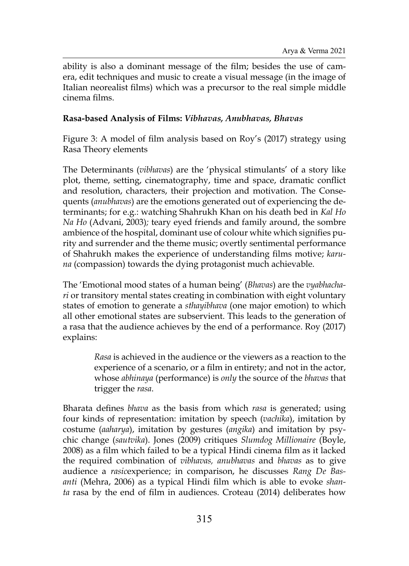ability is also a dominant message of the film; besides the use of camera, edit techniques and music to create a visual message (in the image of Italian neorealist films) which was a precursor to the real simple middle cinema films.

## **Rasa-based Analysis of Films:** *Vibhavas, Anubhavas, Bhavas*

Figure 3: A model of film analysis based on Roy's (2017) strategy using Rasa Theory elements

The Determinants (*vibhavas*) are the 'physical stimulants' of a story like plot, theme, setting, cinematography, time and space, dramatic conflict and resolution, characters, their projection and motivation. The Consequents (*anubhavas*) are the emotions generated out of experiencing the determinants; for e.g.: watching Shahrukh Khan on his death bed in *Kal Ho Na Ho* (Advani, 2003)*;* teary eyed friends and family around, the sombre ambience of the hospital, dominant use of colour white which signifies purity and surrender and the theme music; overtly sentimental performance of Shahrukh makes the experience of understanding films motive; *karuna* (compassion) towards the dying protagonist much achievable.

The 'Emotional mood states of a human being' (*Bhavas*) are the *vyabhachari* or transitory mental states creating in combination with eight voluntary states of emotion to generate a *sthayibhava* (one major emotion) to which all other emotional states are subservient. This leads to the generation of a rasa that the audience achieves by the end of a performance. Roy (2017) explains:

> *Rasa* is achieved in the audience or the viewers as a reaction to the experience of a scenario, or a film in entirety; and not in the actor, whose *abhinaya* (performance) is *only* the source of the *bhavas* that trigger the *rasa*.

Bharata defines *bhava* as the basis from which *rasa* is generated; using four kinds of representation: imitation by speech (*vachika*), imitation by costume (*aaharya*), imitation by gestures (*angika*) and imitation by psychic change (*sautvika*). Jones (2009) critiques *Slumdog Millionaire* (Boyle, 2008) as a film which failed to be a typical Hindi cinema film as it lacked the required combination of *vibhavas, anubhavas* and *bhavas* as to give audience a *rasic*experience; in comparison, he discusses *Rang De Basanti* (Mehra, 2006) as a typical Hindi film which is able to evoke *shanta* rasa by the end of film in audiences. Croteau (2014) deliberates how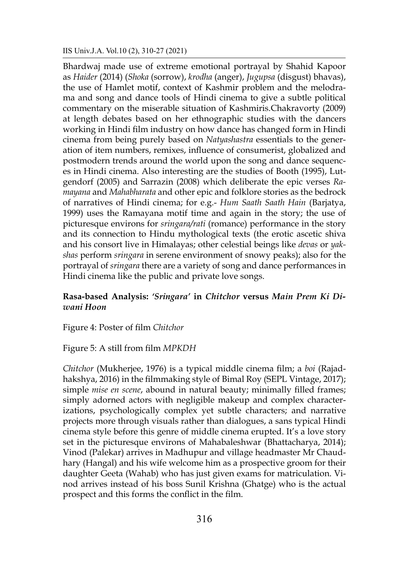Bhardwaj made use of extreme emotional portrayal by Shahid Kapoor as *Haider* (2014) (*Shoka* (sorrow), *krodha* (anger), *Jugupsa* (disgust) bhavas), the use of Hamlet motif, context of Kashmir problem and the melodrama and song and dance tools of Hindi cinema to give a subtle political commentary on the miserable situation of Kashmiris.Chakravorty (2009) at length debates based on her ethnographic studies with the dancers working in Hindi film industry on how dance has changed form in Hindi cinema from being purely based on *Natyashastra* essentials to the generation of item numbers, remixes, influence of consumerist, globalized and postmodern trends around the world upon the song and dance sequences in Hindi cinema. Also interesting are the studies of Booth (1995), Lutgendorf (2005) and Sarrazin (2008) which deliberate the epic verses *Ramayana* and *Mahabharata* and other epic and folklore stories as the bedrock of narratives of Hindi cinema; for e.g.- *Hum Saath Saath Hain* (Barjatya, 1999) uses the Ramayana motif time and again in the story; the use of picturesque environs for *sringara/rati* (romance) performance in the story and its connection to Hindu mythological texts (the erotic ascetic shiva and his consort live in Himalayas; other celestial beings like *devas* or *yakshas* perform *sringara* in serene environment of snowy peaks); also for the portrayal of *sringara* there are a variety of song and dance performances in Hindi cinema like the public and private love songs.

## **Rasa-based Analysis:** *'Sringara'* **in** *Chitchor* **versus** *Main Prem Ki Diwani Hoon*

Figure 4: Poster of film *Chitchor*

## Figure 5: A still from film *MPKDH*

*Chitchor* (Mukherjee, 1976) is a typical middle cinema film; a *boi* (Rajadhakshya, 2016) in the filmmaking style of Bimal Roy (SEPL Vintage, 2017); simple *mise en scene*, abound in natural beauty; minimally filled frames; simply adorned actors with negligible makeup and complex characterizations, psychologically complex yet subtle characters; and narrative projects more through visuals rather than dialogues, a sans typical Hindi cinema style before this genre of middle cinema erupted. It's a love story set in the picturesque environs of Mahabaleshwar (Bhattacharya, 2014); Vinod (Palekar) arrives in Madhupur and village headmaster Mr Chaudhary (Hangal) and his wife welcome him as a prospective groom for their daughter Geeta (Wahab) who has just given exams for matriculation. Vinod arrives instead of his boss Sunil Krishna (Ghatge) who is the actual prospect and this forms the conflict in the film.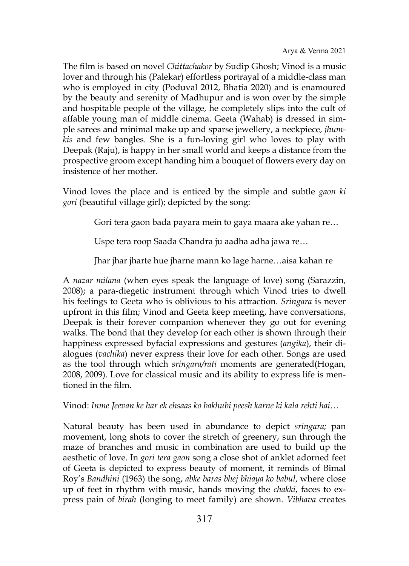The film is based on novel *Chittachakor* by Sudip Ghosh; Vinod is a music lover and through his (Palekar) effortless portrayal of a middle-class man who is employed in city (Poduval 2012, Bhatia 2020) and is enamoured by the beauty and serenity of Madhupur and is won over by the simple and hospitable people of the village, he completely slips into the cult of affable young man of middle cinema. Geeta (Wahab) is dressed in simple sarees and minimal make up and sparse jewellery, a neckpiece, *jhumkis* and few bangles. She is a fun-loving girl who loves to play with Deepak (Raju), is happy in her small world and keeps a distance from the prospective groom except handing him a bouquet of flowers every day on insistence of her mother.

Vinod loves the place and is enticed by the simple and subtle *gaon ki gori* (beautiful village girl); depicted by the song:

Gori tera gaon bada payara mein to gaya maara ake yahan re…

Uspe tera roop Saada Chandra ju aadha adha jawa re…

Jhar jhar jharte hue jharne mann ko lage harne…aisa kahan re

A *nazar milana* (when eyes speak the language of love) song (Sarazzin, 2008); a para-diegetic instrument through which Vinod tries to dwell his feelings to Geeta who is oblivious to his attraction. *Sringara* is never upfront in this film; Vinod and Geeta keep meeting, have conversations, Deepak is their forever companion whenever they go out for evening walks. The bond that they develop for each other is shown through their happiness expressed byfacial expressions and gestures (*angika*), their dialogues (*vachika*) never express their love for each other. Songs are used as the tool through which *sringara/rati* moments are generated(Hogan, 2008, 2009). Love for classical music and its ability to express life is mentioned in the film.

Vinod: *Inme Jeevan ke har ek ehsaas ko bakhubi peesh karne ki kala rehti hai…*

Natural beauty has been used in abundance to depict *sringara;* pan movement, long shots to cover the stretch of greenery, sun through the maze of branches and music in combination are used to build up the aesthetic of love. In *gori tera gaon* song a close shot of anklet adorned feet of Geeta is depicted to express beauty of moment, it reminds of Bimal Roy's *Bandhini* (1963) the song, *abke baras bhej bhiaya ko babul*, where close up of feet in rhythm with music, hands moving the *chakki*, faces to express pain of *birah* (longing to meet family) are shown. *Vibhava* creates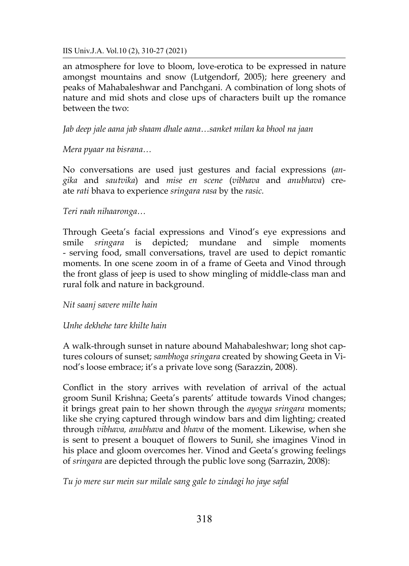an atmosphere for love to bloom, love-erotica to be expressed in nature amongst mountains and snow (Lutgendorf, 2005); here greenery and peaks of Mahabaleshwar and Panchgani. A combination of long shots of nature and mid shots and close ups of characters built up the romance between the two:

*Jab deep jale aana jab shaam dhale aana…sanket milan ka bhool na jaan*

*Mera pyaar na bisrana…*

No conversations are used just gestures and facial expressions (*angika* and *sautvika*) and *mise en scene* (*vibhava* and *anubhava*) create *rati* bhava to experience *sringara rasa* by the *rasic.*

# *Teri raah nihaaronga…*

Through Geeta's facial expressions and Vinod's eye expressions and smile *sringara* is depicted; mundane and simple moments - serving food, small conversations, travel are used to depict romantic moments. In one scene zoom in of a frame of Geeta and Vinod through the front glass of jeep is used to show mingling of middle-class man and rural folk and nature in background.

## *Nit saanj savere milte hain*

# *Unhe dekhehe tare khilte hain*

A walk-through sunset in nature abound Mahabaleshwar; long shot captures colours of sunset; *sambhoga sringara* created by showing Geeta in Vinod's loose embrace; it's a private love song (Sarazzin, 2008).

Conflict in the story arrives with revelation of arrival of the actual groom Sunil Krishna; Geeta's parents' attitude towards Vinod changes; it brings great pain to her shown through the *ayogya sringara* moments; like she crying captured through window bars and dim lighting; created through *vibhava, anubhava* and *bhava* of the moment. Likewise, when she is sent to present a bouquet of flowers to Sunil, she imagines Vinod in his place and gloom overcomes her. Vinod and Geeta's growing feelings of *sringara* are depicted through the public love song (Sarrazin, 2008):

*Tu jo mere sur mein sur milale sang gale to zindagi ho jaye safal*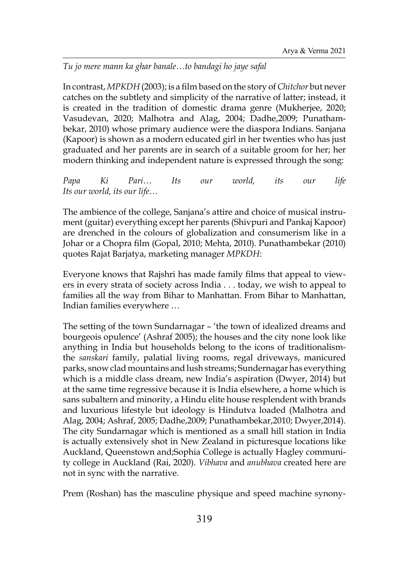*Tu jo mere mann ka ghar banale…to bandagi ho jaye safal*

In contrast, *MPKDH* (2003); is a film based on the story of*Chitchor* but never catches on the subtlety and simplicity of the narrative of latter; instead, it is created in the tradition of domestic drama genre (Mukherjee, 2020; Vasudevan, 2020; Malhotra and Alag, 2004; Dadhe,2009; Punathambekar, 2010) whose primary audience were the diaspora Indians. Sanjana (Kapoor) is shown as a modern educated girl in her twenties who has just graduated and her parents are in search of a suitable groom for her; her modern thinking and independent nature is expressed through the song:

*Papa Ki Pari… Its our world, its our life Its our world, its our life…*

The ambience of the college, Sanjana's attire and choice of musical instrument (guitar) everything except her parents (Shivpuri and Pankaj Kapoor) are drenched in the colours of globalization and consumerism like in a Johar or a Chopra film (Gopal, 2010; Mehta, 2010). Punathambekar (2010) quotes Rajat Barjatya, marketing manager *MPKDH*:

Everyone knows that Rajshri has made family films that appeal to viewers in every strata of society across India . . . today, we wish to appeal to families all the way from Bihar to Manhattan. From Bihar to Manhattan, Indian families everywhere …

The setting of the town Sundarnagar – 'the town of idealized dreams and bourgeois opulence' (Ashraf 2005); the houses and the city none look like anything in India but households belong to the icons of traditionalismthe *sanskari* family, palatial living rooms, regal driveways, manicured parks, snow clad mountains and lush streams; Sundernagar has everything which is a middle class dream, new India's aspiration (Dwyer, 2014) but at the same time regressive because it is India elsewhere, a home which is sans subaltern and minority, a Hindu elite house resplendent with brands and luxurious lifestyle but ideology is Hindutva loaded (Malhotra and Alag, 2004; Ashraf, 2005; Dadhe,2009; Punathambekar,2010; Dwyer,2014). The city Sundarnagar which is mentioned as a small hill station in India is actually extensively shot in New Zealand in picturesque locations like Auckland, Queenstown and;Sophia College is actually Hagley community college in Auckland (Rai, 2020). *Vibhava* and *anubhava* created here are not in sync with the narrative.

Prem (Roshan) has the masculine physique and speed machine synony-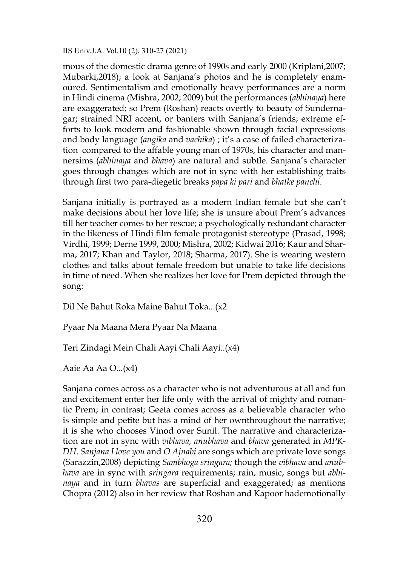mous of the domestic drama genre of 1990s and early 2000 (Kriplani,2007; Mubarki,2018); a look at Sanjana's photos and he is completely enamoured. Sentimentalism and emotionally heavy performances are a norm in Hindi cinema (Mishra, 2002; 2009) but the performances (*abhinaya*) here are exaggerated; so Prem (Roshan) reacts overtly to beauty of Sundernagar; strained NRI accent, or banters with Sanjana's friends; extreme efforts to look modern and fashionable shown through facial expressions and body language (*angika* and *vachika*) ; it's a case of failed characterization compared to the affable young man of 1970s, his character and mannersims (*abhinaya* and *bhava*) are natural and subtle. Sanjana's character goes through changes which are not in sync with her establishing traits through first two para-diegetic breaks *papa ki pari* and *bhatke panchi*.

Sanjana initially is portrayed as a modern Indian female but she can't make decisions about her love life; she is unsure about Prem's advances till her teacher comes to her rescue; a psychologically redundant character in the likeness of Hindi film female protagonist stereotype (Prasad, 1998; Virdhi, 1999; Derne 1999, 2000; Mishra, 2002; Kidwai 2016; Kaur and Sharma, 2017; Khan and Taylor, 2018; Sharma, 2017). She is wearing western clothes and talks about female freedom but unable to take life decisions in time of need. When she realizes her love for Prem depicted through the song:

Dil Ne Bahut Roka Maine Bahut Toka...(x2

Pyaar Na Maana Mera Pyaar Na Maana

Teri Zindagi Mein Chali Aayi Chali Aayi..(x4)

Aaie Aa Aa O...(x4)

Sanjana comes across as a character who is not adventurous at all and fun and excitement enter her life only with the arrival of mighty and romantic Prem; in contrast; Geeta comes across as a believable character who is simple and petite but has a mind of her ownthroughout the narrative; it is she who chooses Vinod over Sunil. The narrative and characterization are not in sync with *vibhava, anubhava* and *bhava* generated in *MPK-DH*. *Sanjana I love you* and *O Ajnabi* are songs which are private love songs (Sarazzin,2008) depicting *Sambhoga sringara;* though the *vibhava* and *anubhava* are in sync with *sringara* requirements; rain, music, songs but *abhinaya* and in turn *bhavas* are superficial and exaggerated; as mentions Chopra (2012) also in her review that Roshan and Kapoor hademotionally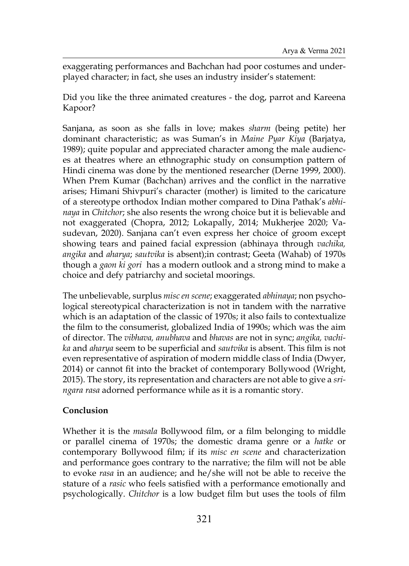exaggerating performances and Bachchan had poor costumes and underplayed character; in fact, she uses an industry insider's statement:

Did you like the three animated creatures - the dog, parrot and Kareena Kapoor?

Sanjana, as soon as she falls in love; makes *sharm* (being petite) her dominant characteristic; as was Suman's in *Maine Pyar Kiya* (Barjatya, 1989); quite popular and appreciated character among the male audiences at theatres where an ethnographic study on consumption pattern of Hindi cinema was done by the mentioned researcher (Derne 1999, 2000). When Prem Kumar (Bachchan) arrives and the conflict in the narrative arises; Himani Shivpuri's character (mother) is limited to the caricature of a stereotype orthodox Indian mother compared to Dina Pathak's *abhinaya* in *Chitchor*; she also resents the wrong choice but it is believable and not exaggerated (Chopra, 2012; Lokapally, 2014; Mukherjee 2020; Vasudevan, 2020). Sanjana can't even express her choice of groom except showing tears and pained facial expression (abhinaya through *vachika, angika* and *aharya*; *sautvika* is absent);in contrast; Geeta (Wahab) of 1970s though a *gaon ki gori* has a modern outlook and a strong mind to make a choice and defy patriarchy and societal moorings.

The unbelievable, surplus *misc en scene*; exaggerated *abhinaya*; non psychological stereotypical characterization is not in tandem with the narrative which is an adaptation of the classic of 1970s; it also fails to contextualize the film to the consumerist, globalized India of 1990s; which was the aim of director. The *vibhava, anubhava* and *bhavas* are not in sync; *angika, vachika* and *aharya* seem to be superficial and *sautvika* is absent. This film is not even representative of aspiration of modern middle class of India (Dwyer, 2014) or cannot fit into the bracket of contemporary Bollywood (Wright, 2015). The story, its representation and characters are not able to give a *sringara rasa* adorned performance while as it is a romantic story.

## **Conclusion**

Whether it is the *masala* Bollywood film, or a film belonging to middle or parallel cinema of 1970s; the domestic drama genre or a *hatke* or contemporary Bollywood film; if its *misc en scene* and characterization and performance goes contrary to the narrative; the film will not be able to evoke *rasa* in an audience; and he/she will not be able to receive the stature of a *rasic* who feels satisfied with a performance emotionally and psychologically. *Chitchor* is a low budget film but uses the tools of film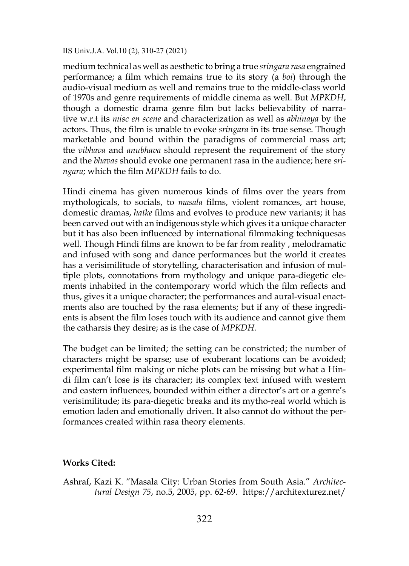medium technical as well as aesthetic to bring a true *sringara rasa* engrained performance; a film which remains true to its story (a *boi*) through the audio-visual medium as well and remains true to the middle-class world of 1970s and genre requirements of middle cinema as well. But *MPKDH*, though a domestic drama genre film but lacks believability of narrative w.r.t its *misc en scene* and characterization as well as *abhinaya* by the actors. Thus, the film is unable to evoke *sringara* in its true sense. Though marketable and bound within the paradigms of commercial mass art; the *vibhava* and *anubhava* should represent the requirement of the story and the *bhavas* should evoke one permanent rasa in the audience; here *sringara*; which the film *MPKDH* fails to do.

Hindi cinema has given numerous kinds of films over the years from mythologicals, to socials, to *masala* films, violent romances, art house, domestic dramas, *hatke* films and evolves to produce new variants; it has been carved out with an indigenous style which gives it a unique character but it has also been influenced by international filmmaking techniquesas well. Though Hindi films are known to be far from reality , melodramatic and infused with song and dance performances but the world it creates has a verisimilitude of storytelling, characterisation and infusion of multiple plots, connotations from mythology and unique para-diegetic elements inhabited in the contemporary world which the film reflects and thus, gives it a unique character; the performances and aural-visual enactments also are touched by the rasa elements; but if any of these ingredients is absent the film loses touch with its audience and cannot give them the catharsis they desire; as is the case of *MPKDH.*

The budget can be limited; the setting can be constricted; the number of characters might be sparse; use of exuberant locations can be avoided; experimental film making or niche plots can be missing but what a Hindi film can't lose is its character; its complex text infused with western and eastern influences, bounded within either a director's art or a genre's verisimilitude; its para-diegetic breaks and its mytho-real world which is emotion laden and emotionally driven. It also cannot do without the performances created within rasa theory elements.

## **Works Cited:**

Ashraf, Kazi K. "Masala City: Urban Stories from South Asia." *Architectural Design 75*, no.5, 2005, pp. 62-69. https://architexturez.net/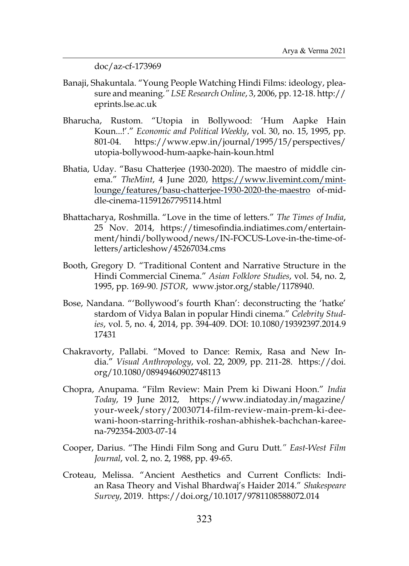doc/az-cf-173969

- Banaji, Shakuntala. "Young People Watching Hindi Films: ideology, pleasure and meaning*." LSE Research Online*, 3, 2006, pp. 12-18. http:// eprints.lse.ac.uk
- Bharucha, Rustom. "Utopia in Bollywood: 'Hum Aapke Hain Koun...!'." *Economic and Political Weekly*, vol. 30, no. 15, 1995, pp. 801-04. https://www.epw.in/journal/1995/15/perspectives/ utopia-bollywood-hum-aapke-hain-koun.html
- Bhatia, Uday. "Basu Chatterjee (1930-2020). The maestro of middle cinema." *TheMint*, 4 June 2020, [https://www.livemint.com/mint](https://www.livemint.com/mint-lounge/features/basu-chatterjee-1930-2020-the-maestro)[lounge/features/basu-chatterjee-1930-2020-the-maestro](https://www.livemint.com/mint-lounge/features/basu-chatterjee-1930-2020-the-maestro) of-middle-cinema-11591267795114.html
- Bhattacharya, Roshmilla. "Love in the time of letters." *The Times of India*, 25 Nov. 2014, https://timesofindia.indiatimes.com/entertainment/hindi/bollywood/news/IN-FOCUS-Love-in-the-time-ofletters/articleshow/45267034.cms
- Booth, Gregory D. "Traditional Content and Narrative Structure in the Hindi Commercial Cinema." *Asian Folklore Studies*, vol. 54, no. 2, 1995, pp. 169-90. *JSTOR*, www.jstor.org/stable/1178940.
- Bose, Nandana. "'Bollywood's fourth Khan': deconstructing the 'hatke' stardom of Vidya Balan in popular Hindi cinema." *Celebrity Studies*, vol. 5, no. 4, 2014, pp. 394-409. DOI: 10.1080/19392397.2014.9 17431
- Chakravorty, Pallabi. "Moved to Dance: Remix, Rasa and New India." *Visual Anthropology*, vol. 22, 2009, pp. 211-28. https://doi. org/10.1080/08949460902748113
- Chopra, Anupama. "Film Review: Main Prem ki Diwani Hoon." *India Today*, 19 June 2012, https://www.indiatoday.in/magazine/ your-week/story/20030714-film-review-main-prem-ki-deewani-hoon-starring-hrithik-roshan-abhishek-bachchan-kareena-792354-2003-07-14
- Cooper, Darius. "The Hindi Film Song and Guru Dutt*." East-West Film Journal*, vol. 2, no. 2, 1988, pp. 49-65.
- Croteau, Melissa. "Ancient Aesthetics and Current Conflicts: Indian Rasa Theory and Vishal Bhardwaj's Haider 2014." *Shakespeare Survey*, 2019. https://doi.org/10.1017/9781108588072.014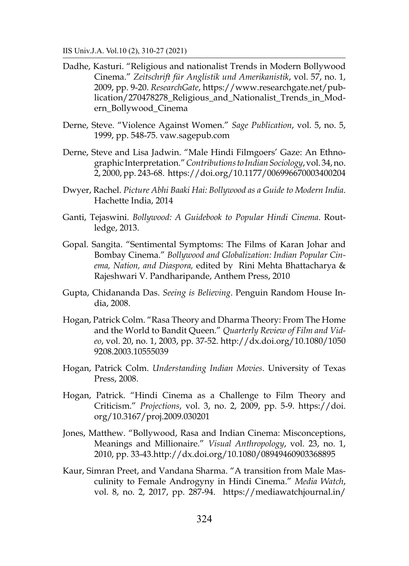- Dadhe, Kasturi. "Religious and nationalist Trends in Modern Bollywood Cinema." *Zeitschrift für Anglistik und Amerikanistik*, vol. 57, no. 1, 2009, pp. 9-20. *ResearchGate*, https://www.researchgate.net/publication/270478278\_Religious\_and\_Nationalist\_Trends\_in\_Modern\_Bollywood\_Cinema
- Derne, Steve. "Violence Against Women." *Sage Publication*, vol. 5, no. 5, 1999, pp. 548-75. vaw.sagepub.com
- Derne, Steve and Lisa Jadwin. "Male Hindi Filmgoers' Gaze: An Ethnographic Interpretation." *Contributions to Indian Sociology*, vol. 34, no. 2, 2000, pp. 243-68. https://doi.org/10.1177/006996670003400204
- Dwyer, Rachel. *Picture Abhi Baaki Hai: Bollywood as a Guide to Modern India*. Hachette India, 2014
- Ganti, Tejaswini. *Bollywood: A Guidebook to Popular Hindi Cinema*. Routledge, 2013.
- Gopal. Sangita. "Sentimental Symptoms: The Films of Karan Johar and Bombay Cinema." *Bollywood and Globalization: Indian Popular Cinema, Nation, and Diaspora,* edited by Rini Mehta Bhattacharya & Rajeshwari V. Pandharipande, Anthem Press, 2010
- Gupta, Chidananda Das. *Seeing is Believing*. Penguin Random House India, 2008.
- Hogan, Patrick Colm. "Rasa Theory and Dharma Theory: From The Home and the World to Bandit Queen." *Quarterly Review of Film and Video*, vol. 20, no. 1, 2003, pp. 37-52. http://dx.doi.org/10.1080/1050 9208.2003.10555039
- Hogan, Patrick Colm. *Understanding Indian Movies*. University of Texas Press, 2008.
- Hogan, Patrick. "Hindi Cinema as a Challenge to Film Theory and Criticism." *Projections*, vol. 3, no. 2, 2009, pp. 5-9. https://doi. org/10.3167/proj.2009.030201
- Jones, Matthew. "Bollywood, Rasa and Indian Cinema: Misconceptions, Meanings and Millionaire." *Visual Anthropology*, vol. 23, no. 1, 2010, pp. 33-43.http://dx.doi.org/10.1080/08949460903368895
- Kaur, Simran Preet, and Vandana Sharma. "A transition from Male Masculinity to Female Androgyny in Hindi Cinema." *Media Watch*, vol. 8, no. 2, 2017, pp. 287-94. https://mediawatchjournal.in/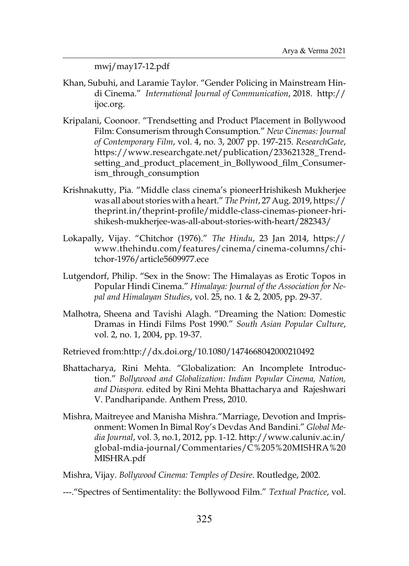mwj/may17-12.pdf

- Khan, Subuhi, and Laramie Taylor. "Gender Policing in Mainstream Hindi Cinema." *International Journal of Communication*, 2018. http:// ijoc.org.
- Kripalani, Coonoor. "Trendsetting and Product Placement in Bollywood Film: Consumerism through Consumption." *New Cinemas: Journal of Contemporary Film*, vol. 4, no. 3, 2007 pp. 197-215. *ResearchGate*, https://www.researchgate.net/publication/233621328\_Trendsetting\_and\_product\_placement\_in\_Bollywood\_film\_Consumerism\_through\_consumption
- Krishnakutty, Pia. "Middle class cinema's pioneerHrishikesh Mukherjee was all about stories with a heart." *The Print*, 27 Aug. 2019, https:// theprint.in/theprint-profile/middle-class-cinemas-pioneer-hrishikesh-mukherjee-was-all-about-stories-with-heart/282343/
- Lokapally, Vijay. "Chitchor (1976)." *The Hindu*, 23 Jan 2014, https:// www.thehindu.com/features/cinema/cinema-columns/chitchor-1976/article5609977.ece
- Lutgendorf, Philip. "Sex in the Snow: The Himalayas as Erotic Topos in Popular Hindi Cinema." *Himalaya: Journal of the Association for Nepal and Himalayan Studies*, vol. 25, no. 1 & 2, 2005, pp. 29-37.
- Malhotra, Sheena and Tavishi Alagh. "Dreaming the Nation: Domestic Dramas in Hindi Films Post 1990." *South Asian Popular Culture*, vol. 2, no. 1, 2004, pp. 19-37.

Retrieved from:http://dx.doi.org/10.1080/1474668042000210492

- Bhattacharya, Rini Mehta. "Globalization: An Incomplete Introduction." *Bollywood and Globalization: Indian Popular Cinema, Nation, and Diaspora.* edited by Rini Mehta Bhattacharya and Rajeshwari V. Pandharipande. Anthem Press, 2010.
- Mishra, Maitreyee and Manisha Mishra."Marriage, Devotion and Imprisonment: Women In Bimal Roy's Devdas And Bandini." *Global Media Journal*, vol. 3, no.1, 2012, pp. 1-12. http://www.caluniv.ac.in/ global-mdia-journal/Commentaries/C%205%20MISHRA%20 MISHRA.pdf
- Mishra, Vijay. *Bollywood Cinema: Temples of Desire*. Routledge, 2002.

---."Spectres of Sentimentality: the Bollywood Film." *Textual Practice*, vol.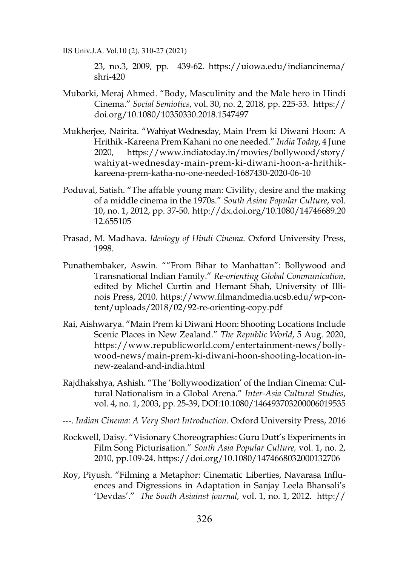23, no.3, 2009, pp. 439-62. https://uiowa.edu/indiancinema/ shri-420

- Mubarki, Meraj Ahmed. "Body, Masculinity and the Male hero in Hindi Cinema." *Social Semiotics*, vol. 30, no. 2, 2018, pp. 225-53. https:// doi.org/10.1080/10350330.2018.1547497
- Mukherjee, Nairita. "Wahiyat Wednesday, Main Prem ki Diwani Hoon: A Hrithik -Kareena Prem Kahani no one needed." *India Today*, 4 June 2020, https://www.indiatoday.in/movies/bollywood/story/ wahiyat-wednesday-main-prem-ki-diwani-hoon-a-hrithikkareena-prem-katha-no-one-needed-1687430-2020-06-10
- Poduval, Satish. "The affable young man: Civility, desire and the making of a middle cinema in the 1970s." *South Asian Popular Culture*, vol. 10, no. 1, 2012, pp. 37-50. http://dx.doi.org/10.1080/14746689.20 12.655105
- Prasad, M. Madhava. *Ideology of Hindi Cinema.* Oxford University Press, 1998.
- Punathembaker, Aswin. ""From Bihar to Manhattan": Bollywood and Transnational Indian Family." *Re-orienting Global Communication*, edited by Michel Curtin and Hemant Shah, University of Illinois Press, 2010. https://www.filmandmedia.ucsb.edu/wp-content/uploads/2018/02/92-re-orienting-copy.pdf
- Rai, Aishwarya. "Main Prem ki Diwani Hoon: Shooting Locations Include Scenic Places in New Zealand." *The Republic World*, 5 Aug. 2020, https://www.republicworld.com/entertainment-news/bollywood-news/main-prem-ki-diwani-hoon-shooting-location-innew-zealand-and-india.html
- Rajdhakshya, Ashish. "The 'Bollywoodization' of the Indian Cinema: Cultural Nationalism in a Global Arena." *Inter-Asia Cultural Studies*, vol. 4, no. 1, 2003, pp. 25-39, DOI:10.1080/146493703200006019535
- ---. *Indian Cinema: A Very Short Introduction*. Oxford University Press, 2016
- Rockwell, Daisy. "Visionary Choreographies: Guru Dutt's Experiments in Film Song Picturisation." *South Asia Popular Culture,* vol. 1, no. 2, 2010, pp.109-24. https://doi.org/10.1080/1474668032000132706
- Roy, Piyush. "Filming a Metaphor: Cinematic Liberties, Navarasa Influences and Digressions in Adaptation in Sanjay Leela Bhansali's 'Devdas'." *The South Asiainst journal,* vol. 1, no. 1, 2012. http://